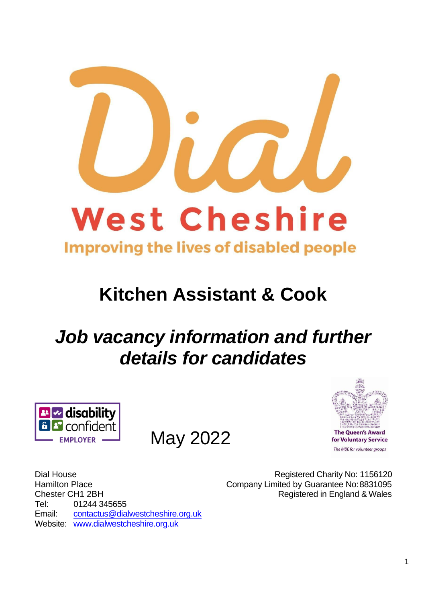

## **Kitchen Assistant & Cook**

# *Job vacancy information and further details for candidates*



May 2022



Registered Charity No: 1156120 Company Limited by Guarantee No:8831095 Registered in England & Wales

Dial House Hamilton Place Chester CH1 2BH Tel: 01244 345655 Email: [contactus@dialwestcheshire.org.uk](mailto:contactus@dialwestcheshire.org.uk) Website: [www.dialwestcheshire.org.uk](http://www.dialwestcheshire.org.uk/)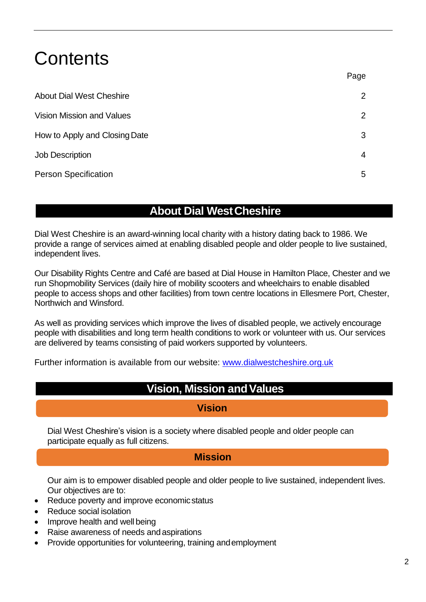## **Contents**

|                                  | r ayu          |
|----------------------------------|----------------|
| <b>About Dial West Cheshire</b>  | $\overline{2}$ |
| <b>Vision Mission and Values</b> | $\overline{2}$ |
| How to Apply and Closing Date    | 3              |
| <b>Job Description</b>           | 4              |
| <b>Person Specification</b>      | 5              |

### **About Dial WestCheshire**

Dial West Cheshire is an award-winning local charity with a history dating back to 1986. We provide a range of services aimed at enabling disabled people and older people to live sustained, independent lives.

Our Disability Rights Centre and Café are based at Dial House in Hamilton Place, Chester and we run Shopmobility Services (daily hire of mobility scooters and wheelchairs to enable disabled people to access shops and other facilities) from town centre locations in Ellesmere Port, Chester, Northwich and Winsford.

As well as providing services which improve the lives of disabled people, we actively encourage people with disabilities and long term health conditions to work or volunteer with us. Our services are delivered by teams consisting of paid workers supported by volunteers.

Further information is available from our website: [www.dialwestcheshire.org.uk](http://www.dialwestcheshire.org.uk/)

## **Vision, Mission andValues**

#### **Vision**

Dial West Cheshire's vision is a society where disabled people and older people can participate equally as full citizens.

#### **Mission**

Our aim is to empower disabled people and older people to live sustained, independent lives. Our objectives are to:

- Reduce poverty and improve economic status
- Reduce social isolation
- Improve health and well being
- Raise awareness of needs andaspirations
- Provide opportunities for volunteering, training andemployment

Page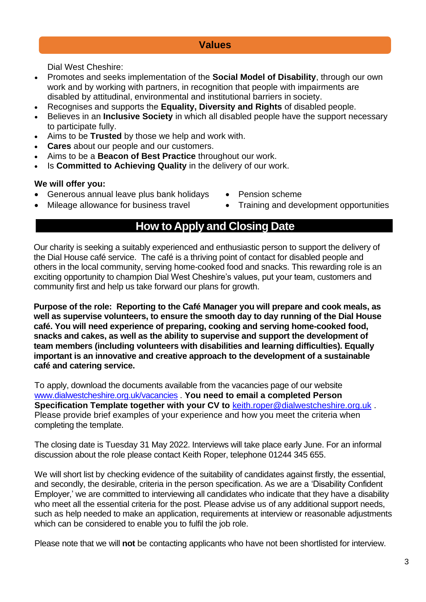#### **Values**

Dial West Cheshire:

- Promotes and seeks implementation of the **Social Model of Disability**, through our own work and by working with partners, in recognition that people with impairments are disabled by attitudinal, environmental and institutional barriers in society.
- Recognises and supports the **Equality, Diversity and Rights** of disabled people.
- Believes in an **Inclusive Society** in which all disabled people have the support necessary to participate fully.
- Aims to be **Trusted** by those we help and work with.
- **Cares** about our people and our customers.
- Aims to be a **Beacon of Best Practice** throughout our work.
- Is **Committed to Achieving Quality** in the delivery of our work.

#### **We will offer you:**

- Generous annual leave plus bank holidays Pension scheme
- 
- 
- Mileage allowance for business travel Training and development opportunities

### **How to Apply and Closing Date**

Our charity is seeking a suitably experienced and enthusiastic person to support the delivery of the Dial House café service. The café is a thriving point of contact for disabled people and others in the local community, serving home-cooked food and snacks. This rewarding role is an exciting opportunity to champion Dial West Cheshire's values, put your team, customers and community first and help us take forward our plans for growth.

**Purpose of the role: Reporting to the Café Manager you will prepare and cook meals, as well as supervise volunteers, to ensure the smooth day to day running of the Dial House café. You will need experience of preparing, cooking and serving home-cooked food, snacks and cakes, as well as the ability to supervise and support the development of team members (including volunteers with disabilities and learning difficulties). Equally important is an innovative and creative approach to the development of a sustainable café and catering service.** 

To apply, download the documents available from the vacancies page of our website [www.dialwestcheshire.org.uk/vacancies](http://www.dialwestcheshire.org.uk/vacancies) . **You need to email a completed Person Specification Template together with your CV to** [keith.roper@dialwestcheshire.org.uk](mailto:keith.roper@dialwestcheshire.org.uk) . Please provide brief examples of your experience and how you meet the criteria when completing the template.

The closing date is Tuesday 31 May 2022. Interviews will take place early June. For an informal discussion about the role please contact Keith Roper, telephone 01244 345 655.

We will short list by checking evidence of the suitability of candidates against firstly, the essential, and secondly, the desirable, criteria in the person specification. As we are a 'Disability Confident Employer,' we are committed to interviewing all candidates who indicate that they have a disability who meet all the essential criteria for the post. Please advise us of any additional support needs, such as help needed to make an application, requirements at interview or reasonable adjustments which can be considered to enable you to fulfil the job role.

Please note that we will **not** be contacting applicants who have not been shortlisted for interview.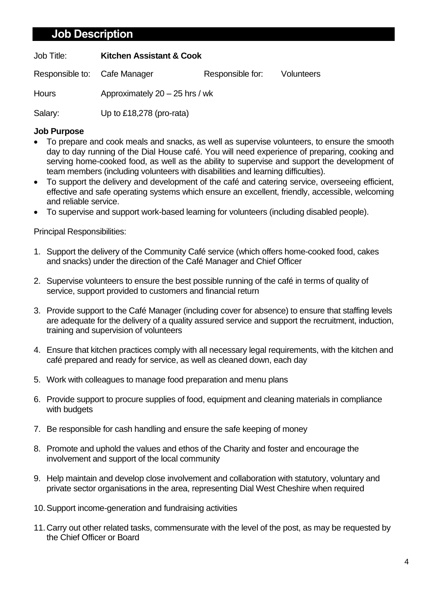### **Job Description**

Job Title: **Kitchen Assistant & Cook**

Responsible to: Cafe Manager Responsible for: Volunteers

Hours: Hours Approximately 20 – 25 hrs / wk

Salary: Up to £18,278 (pro-rata)

#### **Job Purpose**

- To prepare and cook meals and snacks, as well as supervise volunteers, to ensure the smooth day to day running of the Dial House café. You will need experience of preparing, cooking and serving home-cooked food, as well as the ability to supervise and support the development of team members (including volunteers with disabilities and learning difficulties).
- To support the delivery and development of the café and catering service, overseeing efficient, effective and safe operating systems which ensure an excellent, friendly, accessible, welcoming and reliable service.
- To supervise and support work-based learning for volunteers (including disabled people).

Principal Responsibilities:

- 1. Support the delivery of the Community Café service (which offers home-cooked food, cakes and snacks) under the direction of the Café Manager and Chief Officer
- 2. Supervise volunteers to ensure the best possible running of the café in terms of quality of service, support provided to customers and financial return
- 3. Provide support to the Café Manager (including cover for absence) to ensure that staffing levels are adequate for the delivery of a quality assured service and support the recruitment, induction, training and supervision of volunteers
- 4. Ensure that kitchen practices comply with all necessary legal requirements, with the kitchen and café prepared and ready for service, as well as cleaned down, each day
- 5. Work with colleagues to manage food preparation and menu plans
- 6. Provide support to procure supplies of food, equipment and cleaning materials in compliance with budgets
- 7. Be responsible for cash handling and ensure the safe keeping of money
- 8. Promote and uphold the values and ethos of the Charity and foster and encourage the involvement and support of the local community
- 9. Help maintain and develop close involvement and collaboration with statutory, voluntary and private sector organisations in the area, representing Dial West Cheshire when required
- 10.Support income-generation and fundraising activities
- 11.Carry out other related tasks, commensurate with the level of the post, as may be requested by the Chief Officer or Board